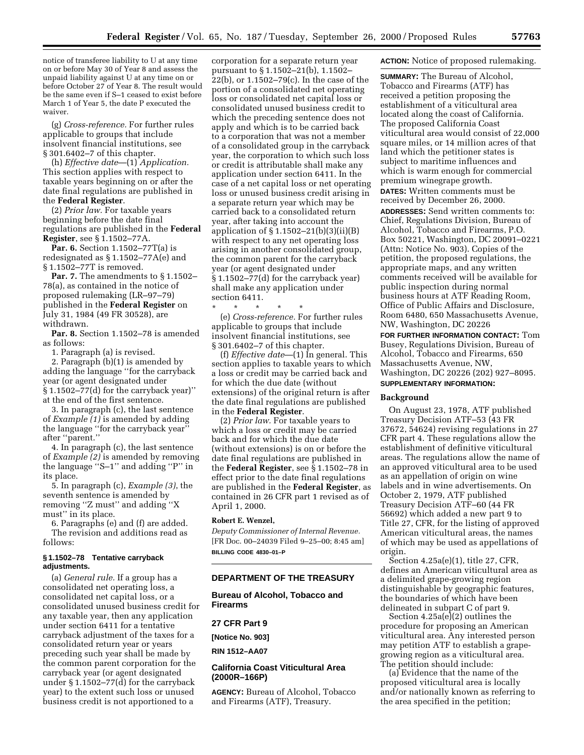notice of transferee liability to U at any time on or before May 30 of Year 8 and assess the unpaid liability against U at any time on or before October 27 of Year 8. The result would be the same even if S–1 ceased to exist before March 1 of Year 5, the date P executed the waiver.

(g) *Cross-reference.* For further rules applicable to groups that include insolvent financial institutions, see § 301.6402–7 of this chapter.

(h) *Effective date*—(1) *Application.* This section applies with respect to taxable years beginning on or after the date final regulations are published in the **Federal Register**.

(2) *Prior law.* For taxable years beginning before the date final regulations are published in the **Federal Register**, see § 1.1502–77A.

**Par. 6.** Section 1.1502–77T(a) is redesignated as § 1.1502–77A(e) and § 1.1502–77T is removed.

**Par. 7.** The amendments to §1.1502– 78(a), as contained in the notice of proposed rulemaking (LR–97–79) published in the **Federal Register** on July 31, 1984 (49 FR 30528), are withdrawn.

**Par. 8.** Section 1.1502–78 is amended as follows:

1. Paragraph (a) is revised.

2. Paragraph (b)(1) is amended by adding the language ''for the carryback year (or agent designated under § 1.1502–77(d) for the carryback year)'' at the end of the first sentence.

3. In paragraph (c), the last sentence of *Example (1)* is amended by adding the language ''for the carryback year'' after ''parent.''

4. In paragraph (c), the last sentence of *Example (2)* is amended by removing the language ''S–1'' and adding ''P'' in its place.

5. In paragraph (c), *Example (3)*, the seventh sentence is amended by removing ''Z must'' and adding ''X must'' in its place.

6. Paragraphs (e) and (f) are added. The revision and additions read as follows:

### **§ 1.1502–78 Tentative carryback adjustments.**

(a) *General rule.* If a group has a consolidated net operating loss, a consolidated net capital loss, or a consolidated unused business credit for any taxable year, then any application under section 6411 for a tentative carryback adjustment of the taxes for a consolidated return year or years preceding such year shall be made by the common parent corporation for the carryback year (or agent designated under § 1.1502–77(d) for the carryback year) to the extent such loss or unused business credit is not apportioned to a

corporation for a separate return year pursuant to § 1.1502–21(b), 1.1502– 22(b), or 1.1502–79(c). In the case of the portion of a consolidated net operating loss or consolidated net capital loss or consolidated unused business credit to which the preceding sentence does not apply and which is to be carried back to a corporation that was not a member of a consolidated group in the carryback year, the corporation to which such loss or credit is attributable shall make any application under section 6411. In the case of a net capital loss or net operating loss or unused business credit arising in a separate return year which may be carried back to a consolidated return year, after taking into account the application of § 1.1502–21(b)(3)(ii)(B) with respect to any net operating loss arising in another consolidated group, the common parent for the carryback year (or agent designated under § 1.1502–77(d) for the carryback year) shall make any application under section 6411.

\* \* \* \* \* (e) *Cross-reference.* For further rules applicable to groups that include insolvent financial institutions, see § 301.6402–7 of this chapter.

(f) *Effective date*—(1) In general. This section applies to taxable years to which a loss or credit may be carried back and for which the due date (without extensions) of the original return is after the date final regulations are published in the **Federal Register**.

(2) *Prior law.* For taxable years to which a loss or credit may be carried back and for which the due date (without extensions) is on or before the date final regulations are published in the **Federal Register**, see § 1.1502–78 in effect prior to the date final regulations are published in the **Federal Register**, as contained in 26 CFR part 1 revised as of April 1, 2000.

### **Robert E. Wenzel,**

*Deputy Commissioner of Internal Revenue.* [FR Doc. 00–24039 Filed 9–25–00; 8:45 am] **BILLING CODE 4830–01–P**

#### **DEPARTMENT OF THE TREASURY**

**Bureau of Alcohol, Tobacco and Firearms**

# **27 CFR Part 9**

**[Notice No. 903]**

**RIN 1512–AA07**

### **California Coast Viticultural Area (2000R–166P)**

**AGENCY:** Bureau of Alcohol, Tobacco and Firearms (ATF), Treasury.

### **ACTION:** Notice of proposed rulemaking.

**SUMMARY:** The Bureau of Alcohol, Tobacco and Firearms (ATF) has received a petition proposing the establishment of a viticultural area located along the coast of California. The proposed California Coast viticultural area would consist of 22,000 square miles, or 14 million acres of that land which the petitioner states is subject to maritime influences and which is warm enough for commercial premium winegrape growth. **DATES:** Written comments must be received by December 26, 2000. **ADDRESSES:** Send written comments to: Chief, Regulations Division, Bureau of Alcohol, Tobacco and Firearms, P.O. Box 50221, Washington, DC 20091–0221 (Attn: Notice No. 903). Copies of the petition, the proposed regulations, the appropriate maps, and any written comments received will be available for public inspection during normal business hours at ATF Reading Room, Office of Public Affairs and Disclosure, Room 6480, 650 Massachusetts Avenue, NW, Washington, DC 20226

**FOR FURTHER INFORMATION CONTACT:** Tom Busey, Regulations Division, Bureau of Alcohol, Tobacco and Firearms, 650 Massachusetts Avenue, NW, Washington, DC 20226 (202) 927–8095. **SUPPLEMENTARY INFORMATION:**

#### **Background**

On August 23, 1978, ATF published Treasury Decision ATF–53 (43 FR 37672, 54624) revising regulations in 27 CFR part 4. These regulations allow the establishment of definitive viticultural areas. The regulations allow the name of an approved viticultural area to be used as an appellation of origin on wine labels and in wine advertisements. On October 2, 1979, ATF published Treasury Decision ATF–60 (44 FR 56692) which added a new part 9 to Title 27, CFR, for the listing of approved American viticultural areas, the names of which may be used as appellations of origin.

Section 4.25a(e)(1), title 27, CFR, defines an American viticultural area as a delimited grape-growing region distinguishable by geographic features, the boundaries of which have been delineated in subpart C of part 9.

Section 4.25a(e)(2) outlines the procedure for proposing an American viticultural area. Any interested person may petition ATF to establish a grapegrowing region as a viticultural area. The petition should include:

(a) Evidence that the name of the proposed viticultural area is locally and/or nationally known as referring to the area specified in the petition;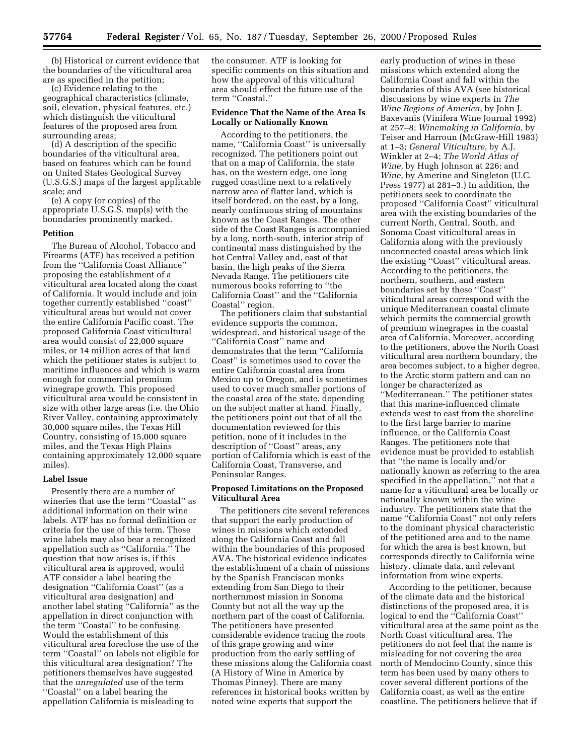(b) Historical or current evidence that the boundaries of the viticultural area are as specified in the petition;

(c) Evidence relating to the geographical characteristics (climate, soil, elevation, physical features, etc.) which distinguish the viticultural features of the proposed area from surrounding areas;

(d) A description of the specific boundaries of the viticultural area, based on features which can be found on United States Geological Survey (U.S.G.S.) maps of the largest applicable scale; and

(e) A copy (or copies) of the appropriate U.S.G.S. map(s) with the boundaries prominently marked.

## **Petition**

The Bureau of Alcohol, Tobacco and Firearms (ATF) has received a petition from the ''California Coast Alliance'' proposing the establishment of a viticultural area located along the coast of California. It would include and join together currently established ''coast'' viticultural areas but would not cover the entire California Pacific coast. The proposed California Coast viticultural area would consist of 22,000 square miles, or 14 million acres of that land which the petitioner states is subject to maritime influences and which is warm enough for commercial premium winegrape growth. This proposed viticultural area would be consistent in size with other large areas (i.e. the Ohio River Valley, containing approximately 30,000 square miles, the Texas Hill Country, consisting of 15,000 square miles, and the Texas High Plains containing approximately 12,000 square miles).

#### **Label Issue**

Presently there are a number of wineries that use the term ''Coastal'' as additional information on their wine labels. ATF has no formal definition or criteria for the use of this term. These wine labels may also bear a recognized appellation such as ''California.'' The question that now arises is, if this viticultural area is approved, would ATF consider a label bearing the designation ''California Coast'' (as a viticultural area designation) and another label stating ''California'' as the appellation in direct conjunction with the term ''Coastal'' to be confusing. Would the establishment of this viticultural area foreclose the use of the term ''Coastal'' on labels not eligible for this viticultural area designation? The petitioners themselves have suggested that the *unregulated* use of the term ''Coastal'' on a label bearing the appellation California is misleading to

the consumer. ATF is looking for specific comments on this situation and how the approval of this viticultural area should effect the future use of the term ''Coastal.''

### **Evidence That the Name of the Area Is Locally or Nationally Known**

According to the petitioners, the name, "California Coast" is universally recognized. The petitioners point out that on a map of California, the state has, on the western edge, one long rugged coastline next to a relatively narrow area of flatter land, which is itself bordered, on the east, by a long, nearly continuous string of mountains known as the Coast Ranges. The other side of the Coast Ranges is accompanied by a long, north-south, interior strip of continental mass distinguished by the hot Central Valley and, east of that basin, the high peaks of the Sierra Nevada Range. The petitioners cite numerous books referring to ''the California Coast'' and the ''California Coastal'' region.

The petitioners claim that substantial evidence supports the common, widespread, and historical usage of the ''California Coast'' name and demonstrates that the term ''California Coast'' is sometimes used to cover the entire California coastal area from Mexico up to Oregon, and is sometimes used to cover much smaller portions of the coastal area of the state, depending on the subject matter at hand. Finally, the petitioners point out that of all the documentation reviewed for this petition, none of it includes in the description of ''Coast'' areas, any portion of California which is east of the California Coast, Transverse, and Peninsular Ranges.

#### **Proposed Limitations on the Proposed Viticultural Area**

The petitioners cite several references that support the early production of wines in missions which extended along the California Coast and fall within the boundaries of this proposed AVA. The historical evidence indicates the establishment of a chain of missions by the Spanish Franciscan monks extending from San Diego to their northernmost mission in Sonoma County but not all the way up the northern part of the coast of California. The petitioners have presented considerable evidence tracing the roots of this grape growing and wine production from the early settling of these missions along the California coast (A History of Wine in America by Thomas Pinney). There are many references in historical books written by noted wine experts that support the

early production of wines in these missions which extended along the California Coast and fall within the boundaries of this AVA (see historical discussions by wine experts in *The Wine Regions of America*, by John J. Baxevanis (Vinifera Wine Journal 1992) at 257–8; *Winemaking in California*, by Teiser and Harroun (McGraw-Hill 1983) at 1–3; *General Viticulture*, by A.J. Winkler at 2–4; *The World Atlas of Wine*, by Hugh Johnson at 226; and *Wine*, by Amerine and Singleton (U.C. Press 1977) at 281–3.) In addition, the petitioners seek to coordinate the proposed ''California Coast'' viticultural area with the existing boundaries of the current North, Central, South, and Sonoma Coast viticultural areas in California along with the previously unconnected coastal areas which link the existing ''Coast'' viticultural areas. According to the petitioners, the northern, southern, and eastern boundaries set by these ''Coast'' viticultural areas correspond with the unique Mediterranean coastal climate which permits the commercial growth of premium winegrapes in the coastal area of California. Moreover, according to the petitioners, above the North Coast viticultural area northern boundary, the area becomes subject, to a higher degree, to the Arctic storm pattern and can no longer be characterized as ''Mediterranean.'' The petitioner states that this marine-influenced climate extends west to east from the shoreline to the first large barrier to marine influence, or the California Coast Ranges. The petitioners note that evidence must be provided to establish that ''the name is locally and/or nationally known as referring to the area specified in the appellation,'' not that a name for a viticultural area be locally or nationally known within the wine industry. The petitioners state that the name ''California Coast'' not only refers to the dominant physical characteristic of the petitioned area and to the name for which the area is best known, but corresponds directly to California wine history, climate data, and relevant information from wine experts.

According to the petitioner, because of the climate data and the historical distinctions of the proposed area, it is logical to end the ''California Coast'' viticultural area at the same point as the North Coast viticultural area. The petitioners do not feel that the name is misleading for not covering the area north of Mendocino County, since this term has been used by many others to cover several different portions of the California coast, as well as the entire coastline. The petitioners believe that if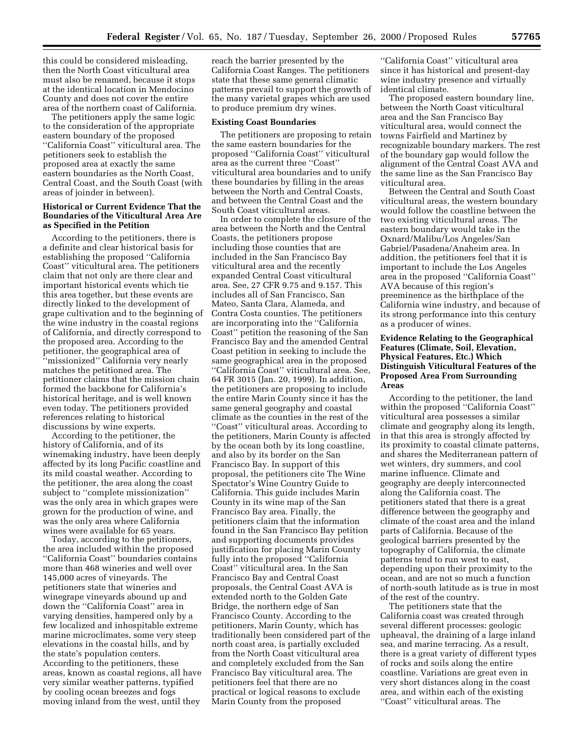this could be considered misleading, then the North Coast viticultural area must also be renamed, because it stops at the identical location in Mendocino County and does not cover the entire area of the northern coast of California.

The petitioners apply the same logic to the consideration of the appropriate eastern boundary of the proposed ''California Coast'' viticultural area. The petitioners seek to establish the proposed area at exactly the same eastern boundaries as the North Coast, Central Coast, and the South Coast (with areas of joinder in between).

### **Historical or Current Evidence That the Boundaries of the Viticultural Area Are as Specified in the Petition**

According to the petitioners, there is a definite and clear historical basis for establishing the proposed ''California Coast'' viticultural area. The petitioners claim that not only are there clear and important historical events which tie this area together, but these events are directly linked to the development of grape cultivation and to the beginning of the wine industry in the coastal regions of California, and directly correspond to the proposed area. According to the petitioner, the geographical area of ''missionized'' California very nearly matches the petitioned area. The petitioner claims that the mission chain formed the backbone for California's historical heritage, and is well known even today. The petitioners provided references relating to historical discussions by wine experts.

According to the petitioner, the history of California, and of its winemaking industry, have been deeply affected by its long Pacific coastline and its mild coastal weather. According to the petitioner, the area along the coast subject to ''complete missionization'' was the only area in which grapes were grown for the production of wine, and was the only area where California wines were available for 65 years.

Today, according to the petitioners, the area included within the proposed ''California Coast'' boundaries contains more than 468 wineries and well over 145,000 acres of vineyards. The petitioners state that wineries and winegrape vineyards abound up and down the ''California Coast'' area in varying densities, hampered only by a few localized and inhospitable extreme marine microclimates, some very steep elevations in the coastal hills, and by the state's population centers. According to the petitioners, these areas, known as coastal regions, all have very similar weather patterns, typified by cooling ocean breezes and fogs moving inland from the west, until they

reach the barrier presented by the California Coast Ranges. The petitioners state that these same general climatic patterns prevail to support the growth of the many varietal grapes which are used to produce premium dry wines.

#### **Existing Coast Boundaries**

The petitioners are proposing to retain the same eastern boundaries for the proposed ''California Coast'' viticultural area as the current three ''Coast'' viticultural area boundaries and to unify these boundaries by filling in the areas between the North and Central Coasts, and between the Central Coast and the South Coast viticultural areas.

In order to complete the closure of the area between the North and the Central Coasts, the petitioners propose including those counties that are included in the San Francisco Bay viticultural area and the recently expanded Central Coast viticultural area. See, 27 CFR 9.75 and 9.157. This includes all of San Francisco, San Mateo, Santa Clara, Alameda, and Contra Costa counties. The petitioners are incorporating into the ''California Coast'' petition the reasoning of the San Francisco Bay and the amended Central Coast petition in seeking to include the same geographical area in the proposed ''California Coast'' viticultural area. See, 64 FR 3015 (Jan. 20, 1999). In addition, the petitioners are proposing to include the entire Marin County since it has the same general geography and coastal climate as the counties in the rest of the ''Coast'' viticultural areas. According to the petitioners, Marin County is affected by the ocean both by its long coastline, and also by its border on the San Francisco Bay. In support of this proposal, the petitioners cite The Wine Spectator's Wine Country Guide to California. This guide includes Marin County in its wine map of the San Francisco Bay area. Finally, the petitioners claim that the information found in the San Francisco Bay petition and supporting documents provides justification for placing Marin County fully into the proposed ''California Coast'' viticultural area. In the San Francisco Bay and Central Coast proposals, the Central Coast AVA is extended north to the Golden Gate Bridge, the northern edge of San Francisco County. According to the petitioners, Marin County, which has traditionally been considered part of the north coast area, is partially excluded from the North Coast viticultural area and completely excluded from the San Francisco Bay viticultural area. The petitioners feel that there are no practical or logical reasons to exclude Marin County from the proposed

''California Coast'' viticultural area since it has historical and present-day wine industry presence and virtually identical climate.

The proposed eastern boundary line, between the North Coast viticultural area and the San Francisco Bay viticultural area, would connect the towns Fairfield and Martinez by recognizable boundary markers. The rest of the boundary gap would follow the alignment of the Central Coast AVA and the same line as the San Francisco Bay viticultural area.

Between the Central and South Coast viticultural areas, the western boundary would follow the coastline between the two existing viticultural areas. The eastern boundary would take in the Oxnard/Malibu/Los Angeles/San Gabriel/Pasadena/Anaheim area. In addition, the petitioners feel that it is important to include the Los Angeles area in the proposed ''California Coast'' AVA because of this region's preeminence as the birthplace of the California wine industry, and because of its strong performance into this century as a producer of wines.

## **Evidence Relating to the Geographical Features (Climate, Soil, Elevation, Physical Features, Etc.) Which Distinguish Viticultural Features of the Proposed Area From Surrounding Areas**

According to the petitioner, the land within the proposed ''California Coast'' viticultural area possesses a similar climate and geography along its length, in that this area is strongly affected by its proximity to coastal climate patterns, and shares the Mediterranean pattern of wet winters, dry summers, and cool marine influence. Climate and geography are deeply interconnected along the California coast. The petitioners stated that there is a great difference between the geography and climate of the coast area and the inland parts of California. Because of the geological barriers presented by the topography of California, the climate patterns tend to run west to east, depending upon their proximity to the ocean, and are not so much a function of north-south latitude as is true in most of the rest of the country.

The petitioners state that the California coast was created through several different processes: geologic upheaval, the draining of a large inland sea, and marine terracing. As a result, there is a great variety of different types of rocks and soils along the entire coastline. Variations are great even in very short distances along in the coast area, and within each of the existing ''Coast'' viticultural areas. The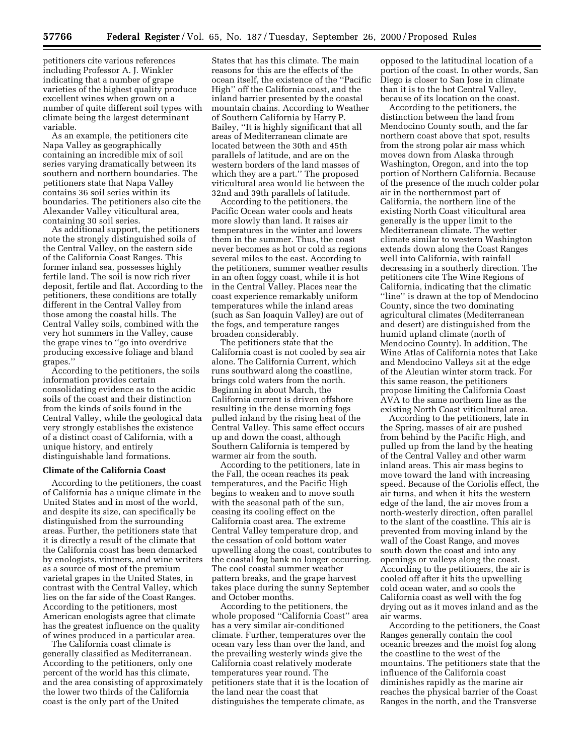**57766 Federal Register** / Vol. 65, No. 187 / Tuesday, September 26, 2000 / Proposed Rules

petitioners cite various references including Professor A. J. Winkler indicating that a number of grape varieties of the highest quality produce excellent wines when grown on a number of quite different soil types with climate being the largest determinant variable.

As an example, the petitioners cite Napa Valley as geographically containing an incredible mix of soil series varying dramatically between its southern and northern boundaries. The petitioners state that Napa Valley contains 36 soil series within its boundaries. The petitioners also cite the Alexander Valley viticultural area, containing 30 soil series.

As additional support, the petitioners note the strongly distinguished soils of the Central Valley, on the eastern side of the California Coast Ranges. This former inland sea, possesses highly fertile land. The soil is now rich river deposit, fertile and flat. According to the petitioners, these conditions are totally different in the Central Valley from those among the coastal hills. The Central Valley soils, combined with the very hot summers in the Valley, cause the grape vines to ''go into overdrive producing excessive foliage and bland grapes.''

According to the petitioners, the soils information provides certain consolidating evidence as to the acidic soils of the coast and their distinction from the kinds of soils found in the Central Valley, while the geological data very strongly establishes the existence of a distinct coast of California, with a unique history, and entirely distinguishable land formations.

#### **Climate of the California Coast**

According to the petitioners, the coast of California has a unique climate in the United States and in most of the world, and despite its size, can specifically be distinguished from the surrounding areas. Further, the petitioners state that it is directly a result of the climate that the California coast has been demarked by enologists, vintners, and wine writers as a source of most of the premium varietal grapes in the United States, in contrast with the Central Valley, which lies on the far side of the Coast Ranges. According to the petitioners, most American enologists agree that climate has the greatest influence on the quality of wines produced in a particular area.

The California coast climate is generally classified as Mediterranean. According to the petitioners, only one percent of the world has this climate, and the area consisting of approximately the lower two thirds of the California coast is the only part of the United

States that has this climate. The main reasons for this are the effects of the ocean itself, the existence of the ''Pacific High'' off the California coast, and the inland barrier presented by the coastal mountain chains. According to Weather of Southern California by Harry P. Bailey, ''It is highly significant that all areas of Mediterranean climate are located between the 30th and 45th parallels of latitude, and are on the western borders of the land masses of which they are a part.'' The proposed viticultural area would lie between the 32nd and 39th parallels of latitude.

According to the petitioners, the Pacific Ocean water cools and heats more slowly than land. It raises air temperatures in the winter and lowers them in the summer. Thus, the coast never becomes as hot or cold as regions several miles to the east. According to the petitioners, summer weather results in an often foggy coast, while it is hot in the Central Valley. Places near the coast experience remarkably uniform temperatures while the inland areas (such as San Joaquin Valley) are out of the fogs, and temperature ranges broaden considerably.

The petitioners state that the California coast is not cooled by sea air alone. The California Current, which runs southward along the coastline, brings cold waters from the north. Beginning in about March, the California current is driven offshore resulting in the dense morning fogs pulled inland by the rising heat of the Central Valley. This same effect occurs up and down the coast, although Southern California is tempered by warmer air from the south.

According to the petitioners, late in the Fall, the ocean reaches its peak temperatures, and the Pacific High begins to weaken and to move south with the seasonal path of the sun, ceasing its cooling effect on the California coast area. The extreme Central Valley temperature drop, and the cessation of cold bottom water upwelling along the coast, contributes to the coastal fog bank no longer occurring. The cool coastal summer weather pattern breaks, and the grape harvest takes place during the sunny September and October months.

According to the petitioners, the whole proposed ''California Coast'' area has a very similar air-conditioned climate. Further, temperatures over the ocean vary less than over the land, and the prevailing westerly winds give the California coast relatively moderate temperatures year round. The petitioners state that it is the location of the land near the coast that distinguishes the temperate climate, as

opposed to the latitudinal location of a portion of the coast. In other words, San Diego is closer to San Jose in climate than it is to the hot Central Valley, because of its location on the coast.

According to the petitioners, the distinction between the land from Mendocino County south, and the far northern coast above that spot, results from the strong polar air mass which moves down from Alaska through Washington, Oregon, and into the top portion of Northern California. Because of the presence of the much colder polar air in the northernmost part of California, the northern line of the existing North Coast viticultural area generally is the upper limit to the Mediterranean climate. The wetter climate similar to western Washington extends down along the Coast Ranges well into California, with rainfall decreasing in a southerly direction. The petitioners cite The Wine Regions of California, indicating that the climatic ''line'' is drawn at the top of Mendocino County, since the two dominating agricultural climates (Mediterranean and desert) are distinguished from the humid upland climate (north of Mendocino County). In addition, The Wine Atlas of California notes that Lake and Mendocino Valleys sit at the edge of the Aleutian winter storm track. For this same reason, the petitioners propose limiting the California Coast AVA to the same northern line as the existing North Coast viticultural area.

According to the petitioners, late in the Spring, masses of air are pushed from behind by the Pacific High, and pulled up from the land by the heating of the Central Valley and other warm inland areas. This air mass begins to move toward the land with increasing speed. Because of the Coriolis effect, the air turns, and when it hits the western edge of the land, the air moves from a north-westerly direction, often parallel to the slant of the coastline. This air is prevented from moving inland by the wall of the Coast Range, and moves south down the coast and into any openings or valleys along the coast. According to the petitioners, the air is cooled off after it hits the upwelling cold ocean water, and so cools the California coast as well with the fog drying out as it moves inland and as the air warms.

According to the petitioners, the Coast Ranges generally contain the cool oceanic breezes and the moist fog along the coastline to the west of the mountains. The petitioners state that the influence of the California coast diminishes rapidly as the marine air reaches the physical barrier of the Coast Ranges in the north, and the Transverse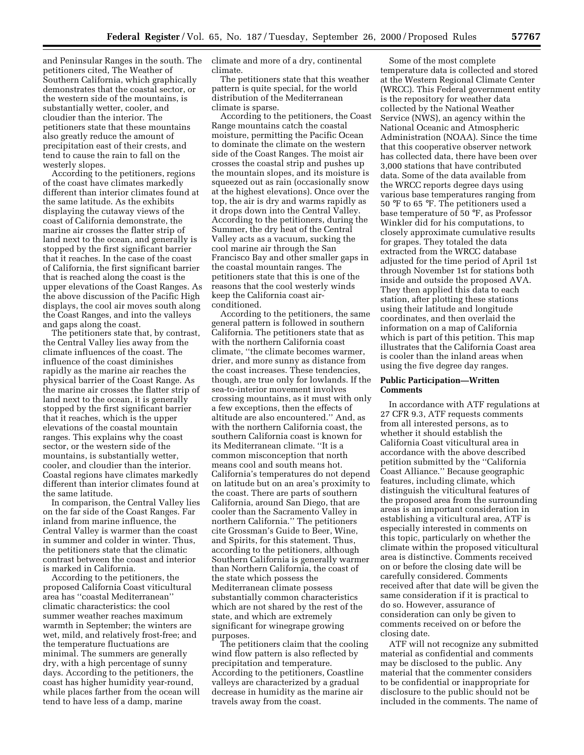and Peninsular Ranges in the south. The petitioners cited, The Weather of Southern California, which graphically demonstrates that the coastal sector, or the western side of the mountains, is substantially wetter, cooler, and cloudier than the interior. The petitioners state that these mountains also greatly reduce the amount of precipitation east of their crests, and tend to cause the rain to fall on the westerly slopes.

According to the petitioners, regions of the coast have climates markedly different than interior climates found at the same latitude. As the exhibits displaying the cutaway views of the coast of California demonstrate, the marine air crosses the flatter strip of land next to the ocean, and generally is stopped by the first significant barrier that it reaches. In the case of the coast of California, the first significant barrier that is reached along the coast is the upper elevations of the Coast Ranges. As the above discussion of the Pacific High displays, the cool air moves south along the Coast Ranges, and into the valleys and gaps along the coast.

The petitioners state that, by contrast, the Central Valley lies away from the climate influences of the coast. The influence of the coast diminishes rapidly as the marine air reaches the physical barrier of the Coast Range. As the marine air crosses the flatter strip of land next to the ocean, it is generally stopped by the first significant barrier that it reaches, which is the upper elevations of the coastal mountain ranges. This explains why the coast sector, or the western side of the mountains, is substantially wetter, cooler, and cloudier than the interior. Coastal regions have climates markedly different than interior climates found at the same latitude.

In comparison, the Central Valley lies on the far side of the Coast Ranges. Far inland from marine influence, the Central Valley is warmer than the coast in summer and colder in winter. Thus, the petitioners state that the climatic contrast between the coast and interior is marked in California.

According to the petitioners, the proposed California Coast viticultural area has ''coastal Mediterranean'' climatic characteristics: the cool summer weather reaches maximum warmth in September; the winters are wet, mild, and relatively frost-free; and the temperature fluctuations are minimal. The summers are generally dry, with a high percentage of sunny days. According to the petitioners, the coast has higher humidity year-round, while places farther from the ocean will tend to have less of a damp, marine

climate and more of a dry, continental climate.

The petitioners state that this weather pattern is quite special, for the world distribution of the Mediterranean climate is sparse.

According to the petitioners, the Coast Range mountains catch the coastal moisture, permitting the Pacific Ocean to dominate the climate on the western side of the Coast Ranges. The moist air crosses the coastal strip and pushes up the mountain slopes, and its moisture is squeezed out as rain (occasionally snow at the highest elevations). Once over the top, the air is dry and warms rapidly as it drops down into the Central Valley. According to the petitioners, during the Summer, the dry heat of the Central Valley acts as a vacuum, sucking the cool marine air through the San Francisco Bay and other smaller gaps in the coastal mountain ranges. The petitioners state that this is one of the reasons that the cool westerly winds keep the California coast airconditioned.

According to the petitioners, the same general pattern is followed in southern California. The petitioners state that as with the northern California coast climate, ''the climate becomes warmer, drier, and more sunny as distance from the coast increases. These tendencies, though, are true only for lowlands. If the sea-to-interior movement involves crossing mountains, as it must with only a few exceptions, then the effects of altitude are also encountered.'' And, as with the northern California coast, the southern California coast is known for its Mediterranean climate. ''It is a common misconception that north means cool and south means hot. California's temperatures do not depend on latitude but on an area's proximity to the coast. There are parts of southern California, around San Diego, that are cooler than the Sacramento Valley in northern California.'' The petitioners cite Grossman's Guide to Beer, Wine, and Spirits, for this statement. Thus, according to the petitioners, although Southern California is generally warmer than Northern California, the coast of the state which possess the Mediterranean climate possess substantially common characteristics which are not shared by the rest of the state, and which are extremely significant for winegrape growing purposes.

The petitioners claim that the cooling wind flow pattern is also reflected by precipitation and temperature. According to the petitioners, Coastline valleys are characterized by a gradual decrease in humidity as the marine air travels away from the coast.

Some of the most complete temperature data is collected and stored at the Western Regional Climate Center (WRCC). This Federal government entity is the repository for weather data collected by the National Weather Service (NWS), an agency within the National Oceanic and Atmospheric Administration (NOAA). Since the time that this cooperative observer network has collected data, there have been over 3,000 stations that have contributed data. Some of the data available from the WRCC reports degree days using various base temperatures ranging from 50 °F to 65 °F. The petitioners used a base temperature of 50 °F, as Professor Winkler did for his computations, to closely approximate cumulative results for grapes. They totaled the data extracted from the WRCC database adjusted for the time period of April 1st through November 1st for stations both inside and outside the proposed AVA. They then applied this data to each station, after plotting these stations using their latitude and longitude coordinates, and then overlaid the information on a map of California which is part of this petition. This map illustrates that the California Coast area is cooler than the inland areas when using the five degree day ranges.

#### **Public Participation—Written Comments**

In accordance with ATF regulations at 27 CFR 9.3, ATF requests comments from all interested persons, as to whether it should establish the California Coast viticultural area in accordance with the above described petition submitted by the ''California Coast Alliance.'' Because geographic features, including climate, which distinguish the viticultural features of the proposed area from the surrounding areas is an important consideration in establishing a viticultural area, ATF is especially interested in comments on this topic, particularly on whether the climate within the proposed viticultural area is distinctive. Comments received on or before the closing date will be carefully considered. Comments received after that date will be given the same consideration if it is practical to do so. However, assurance of consideration can only be given to comments received on or before the closing date.

ATF will not recognize any submitted material as confidential and comments may be disclosed to the public. Any material that the commenter considers to be confidential or inappropriate for disclosure to the public should not be included in the comments. The name of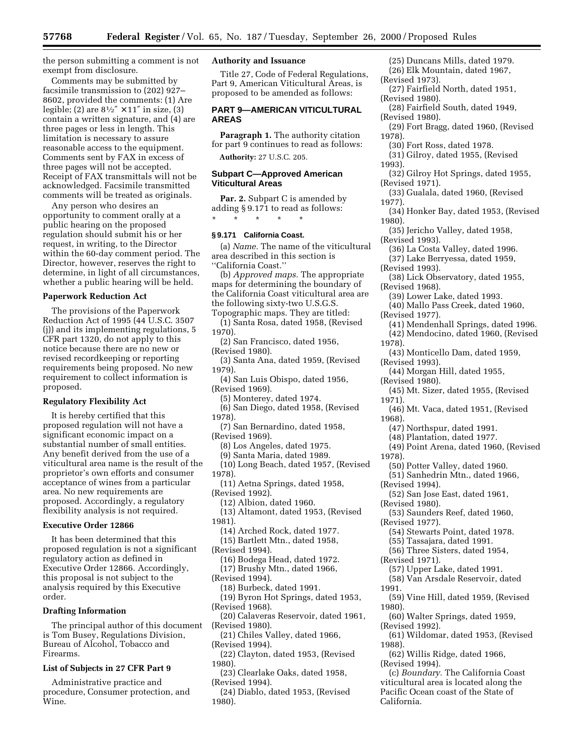the person submitting a comment is not exempt from disclosure.

Comments may be submitted by facsimile transmission to (202) 927– 8602, provided the comments: (1) Are legible; (2) are  $8\frac{1}{2}$   $\times$  11" in size, (3) contain a written signature, and (4) are three pages or less in length. This limitation is necessary to assure reasonable access to the equipment. Comments sent by FAX in excess of three pages will not be accepted. Receipt of FAX transmittals will not be acknowledged. Facsimile transmitted comments will be treated as originals.

Any person who desires an opportunity to comment orally at a public hearing on the proposed regulation should submit his or her request, in writing, to the Director within the 60-day comment period. The Director, however, reserves the right to determine, in light of all circumstances, whether a public hearing will be held.

#### **Paperwork Reduction Act**

The provisions of the Paperwork Reduction Act of 1995 (44 U.S.C. 3507 (j)) and its implementing regulations, 5 CFR part 1320, do not apply to this notice because there are no new or revised recordkeeping or reporting requirements being proposed. No new requirement to collect information is proposed.

### **Regulatory Flexibility Act**

It is hereby certified that this proposed regulation will not have a significant economic impact on a substantial number of small entities. Any benefit derived from the use of a viticultural area name is the result of the proprietor's own efforts and consumer acceptance of wines from a particular area. No new requirements are proposed. Accordingly, a regulatory flexibility analysis is not required.

### **Executive Order 12866**

It has been determined that this proposed regulation is not a significant regulatory action as defined in Executive Order 12866. Accordingly, this proposal is not subject to the analysis required by this Executive order.

## **Drafting Information**

The principal author of this document is Tom Busey, Regulations Division, Bureau of Alcohol, Tobacco and Firearms.

#### **List of Subjects in 27 CFR Part 9**

Administrative practice and procedure, Consumer protection, and Wine.

### **Authority and Issuance**

Title 27, Code of Federal Regulations, Part 9, American Viticultural Areas, is proposed to be amended as follows:

## **PART 9—AMERICAN VITICULTURAL AREAS**

**Paragraph 1.** The authority citation for part 9 continues to read as follows:

**Authority:** 27 U.S.C. 205.

### **Subpart C—Approved American Viticultural Areas**

**Par. 2.** Subpart C is amended by adding § 9.171 to read as follows: \* \* \* \* \*

# **§ 9.171 California Coast.**

(a) *Name.* The name of the viticultural area described in this section is ''California Coast.''

(b) *Approved maps.* The appropriate maps for determining the boundary of the California Coast viticultural area are the following sixty-two U.S.G.S. Topographic maps. They are titled:

(1) Santa Rosa, dated 1958, (Revised 1970).

- (2) San Francisco, dated 1956, (Revised 1980).
- (3) Santa Ana, dated 1959, (Revised 1979).
- (4) San Luis Obispo, dated 1956, (Revised 1969).
	- (5) Monterey, dated 1974.
- (6) San Diego, dated 1958, (Revised 1978).
- (7) San Bernardino, dated 1958, (Revised 1969).
	- (8) Los Angeles, dated 1975.
	- (9) Santa Maria, dated 1989.

(10) Long Beach, dated 1957, (Revised 1978).

- (11) Aetna Springs, dated 1958, (Revised 1992).
- (12) Albion, dated 1960.

(13) Altamont, dated 1953, (Revised 1981).

- (14) Arched Rock, dated 1977.
- (15) Bartlett Mtn., dated 1958,
- (Revised 1994).
- (16) Bodega Head, dated 1972. (17) Brushy Mtn., dated 1966,
- (Revised 1994).
- (18) Burbeck, dated 1991. (19) Byron Hot Springs, dated 1953, (Revised 1968).
- (20) Calaveras Reservoir, dated 1961, (Revised 1980).

(21) Chiles Valley, dated 1966, (Revised 1994).

- (22) Clayton, dated 1953, (Revised 1980).
- (23) Clearlake Oaks, dated 1958, (Revised 1994).
- (24) Diablo, dated 1953, (Revised 1980).
- (25) Duncans Mills, dated 1979.
- (26) Elk Mountain, dated 1967, (Revised 1973).
- (27) Fairfield North, dated 1951, (Revised 1980).
- (28) Fairfield South, dated 1949, (Revised 1980).
- (29) Fort Bragg, dated 1960, (Revised 1978).
- (30) Fort Ross, dated 1978.
- (31) Gilroy, dated 1955, (Revised 1993).
- (32) Gilroy Hot Springs, dated 1955, (Revised 1971).
- (33) Gualala, dated 1960, (Revised 1977).
- (34) Honker Bay, dated 1953, (Revised 1980).
- (35) Jericho Valley, dated 1958, (Revised 1993).
- (36) La Costa Valley, dated 1996.
- (37) Lake Berryessa, dated 1959,
- (Revised 1993).
- (38) Lick Observatory, dated 1955, (Revised 1968).
- (39) Lower Lake, dated 1993.
- (40) Mallo Pass Creek, dated 1960,
- (Revised 1977).
- (41) Mendenhall Springs, dated 1996.
- (42) Mendocino, dated 1960, (Revised 1978).
- (43) Monticello Dam, dated 1959, (Revised 1993).
- (44) Morgan Hill, dated 1955,
- (Revised 1980).
- (45) Mt. Sizer, dated 1955, (Revised 1971).
- (46) Mt. Vaca, dated 1951, (Revised 1968).
	- (47) Northspur, dated 1991.
- (48) Plantation, dated 1977.
- (49) Point Arena, dated 1960, (Revised 1978).
- (50) Potter Valley, dated 1960.
- (51) Sanhedrin Mtn., dated 1966,
- (Revised 1994).
- (52) San Jose East, dated 1961, (Revised 1980).
- (53) Saunders Reef, dated 1960,
- (Revised 1977).
	- (54) Stewarts Point, dated 1978.
	- (55) Tassajara, dated 1991.
	- (56) Three Sisters, dated 1954,
- (Revised 1971).
	- (57) Upper Lake, dated 1991.
- (58) Van Arsdale Reservoir, dated 1991.
- (59) Vine Hill, dated 1959, (Revised 1980).
- (60) Walter Springs, dated 1959,
- (Revised 1992). (61) Wildomar, dated 1953, (Revised

1988).

- (62) Willis Ridge, dated 1966, (Revised 1994).
- (c) *Boundary.* The California Coast viticultural area is located along the Pacific Ocean coast of the State of California.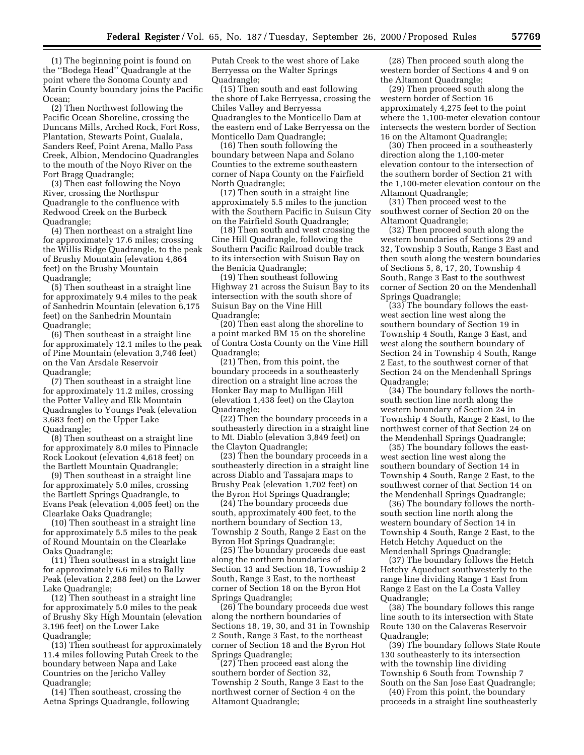(1) The beginning point is found on the ''Bodega Head'' Quadrangle at the point where the Sonoma County and Marin County boundary joins the Pacific Ocean;

(2) Then Northwest following the Pacific Ocean Shoreline, crossing the Duncans Mills, Arched Rock, Fort Ross, Plantation, Stewarts Point, Gualala, Sanders Reef, Point Arena, Mallo Pass Creek, Albion, Mendocino Quadrangles to the mouth of the Noyo River on the Fort Bragg Quadrangle;

(3) Then east following the Noyo River, crossing the Northspur Quadrangle to the confluence with Redwood Creek on the Burbeck Quadrangle;

(4) Then northeast on a straight line for approximately 17.6 miles; crossing the Willis Ridge Quadrangle, to the peak of Brushy Mountain (elevation 4,864 feet) on the Brushy Mountain Quadrangle;

(5) Then southeast in a straight line for approximately 9.4 miles to the peak of Sanhedrin Mountain (elevation 6,175 feet) on the Sanhedrin Mountain Quadrangle;

(6) Then southeast in a straight line for approximately 12.1 miles to the peak of Pine Mountain (elevation 3,746 feet) on the Van Arsdale Reservoir Quadrangle;

(7) Then southeast in a straight line for approximately 11.2 miles, crossing the Potter Valley and Elk Mountain Quadrangles to Youngs Peak (elevation 3,683 feet) on the Upper Lake Quadrangle;

(8) Then southeast on a straight line for approximately 8.0 miles to Pinnacle Rock Lookout (elevation 4,618 feet) on the Bartlett Mountain Quadrangle;

(9) Then southeast in a straight line for approximately 5.0 miles, crossing the Bartlett Springs Quadrangle, to Evans Peak (elevation 4,005 feet) on the Clearlake Oaks Quadrangle;

(10) Then southeast in a straight line for approximately 5.5 miles to the peak of Round Mountain on the Clearlake Oaks Quadrangle;

(11) Then southeast in a straight line for approximately 6.6 miles to Bally Peak (elevation 2,288 feet) on the Lower Lake Quadrangle;

(12) Then southeast in a straight line for approximately 5.0 miles to the peak of Brushy Sky High Mountain (elevation 3,196 feet) on the Lower Lake Quadrangle;

(13) Then southeast for approximately 11.4 miles following Putah Creek to the boundary between Napa and Lake Countries on the Jericho Valley Quadrangle;

(14) Then southeast, crossing the Aetna Springs Quadrangle, following Putah Creek to the west shore of Lake Berryessa on the Walter Springs Quadrangle;

(15) Then south and east following the shore of Lake Berryessa, crossing the Chiles Valley and Berryessa Quadrangles to the Monticello Dam at the eastern end of Lake Berryessa on the Monticello Dam Quadrangle;

(16) Then south following the boundary between Napa and Solano Counties to the extreme southeastern corner of Napa County on the Fairfield North Quadrangle;

(17) Then south in a straight line approximately 5.5 miles to the junction with the Southern Pacific in Suisun City on the Fairfield South Quadrangle;

(18) Then south and west crossing the Cine Hill Quadrangle, following the Southern Pacific Railroad double track to its intersection with Suisun Bay on the Benicia Quadrangle;

(19) Then southeast following Highway 21 across the Suisun Bay to its intersection with the south shore of Suisun Bay on the Vine Hill Quadrangle;

(20) Then east along the shoreline to a point marked BM 15 on the shoreline of Contra Costa County on the Vine Hill Quadrangle;

(21) Then, from this point, the boundary proceeds in a southeasterly direction on a straight line across the Honker Bay map to Mulligan Hill (elevation 1,438 feet) on the Clayton Quadrangle;

(22) Then the boundary proceeds in a southeasterly direction in a straight line to Mt. Diablo (elevation 3,849 feet) on the Clayton Quadrangle;

(23) Then the boundary proceeds in a southeasterly direction in a straight line across Diablo and Tassajara maps to Brushy Peak (elevation 1,702 feet) on the Byron Hot Springs Quadrangle;

(24) The boundary proceeds due south, approximately 400 feet, to the northern boundary of Section 13, Township 2 South, Range 2 East on the Byron Hot Springs Quadrangle;

(25) The boundary proceeds due east along the northern boundaries of Section 13 and Section 18, Township 2 South, Range 3 East, to the northeast corner of Section 18 on the Byron Hot Springs Quadrangle;

(26) The boundary proceeds due west along the northern boundaries of Sections 18, 19, 30, and 31 in Township 2 South, Range 3 East, to the northeast corner of Section 18 and the Byron Hot Springs Quadrangle;

(27) Then proceed east along the southern border of Section 32, Township 2 South, Range 3 East to the northwest corner of Section 4 on the Altamont Quadrangle;

(28) Then proceed south along the western border of Sections 4 and 9 on the Altamont Quadrangle;

(29) Then proceed south along the western border of Section 16 approximately 4,275 feet to the point where the 1,100-meter elevation contour intersects the western border of Section 16 on the Altamont Quadrangle;

(30) Then proceed in a southeasterly direction along the 1,100-meter elevation contour to the intersection of the southern border of Section 21 with the 1,100-meter elevation contour on the Altamont Quadrangle;

(31) Then proceed west to the southwest corner of Section 20 on the Altamont Quadrangle;

(32) Then proceed south along the western boundaries of Sections 29 and 32, Township 3 South, Range 3 East and then south along the western boundaries of Sections 5, 8, 17, 20, Township 4 South, Range 3 East to the southwest corner of Section 20 on the Mendenhall Springs Quadrangle;

(33) The boundary follows the eastwest section line west along the southern boundary of Section 19 in Township 4 South, Range 3 East, and west along the southern boundary of Section 24 in Township 4 South, Range 2 East, to the southwest corner of that Section 24 on the Mendenhall Springs Quadrangle;

(34) The boundary follows the northsouth section line north along the western boundary of Section 24 in Township 4 South, Range 2 East, to the northwest corner of that Section 24 on the Mendenhall Springs Quadrangle;

(35) The boundary follows the eastwest section line west along the southern boundary of Section 14 in Township 4 South, Range 2 East, to the southwest corner of that Section 14 on the Mendenhall Springs Quadrangle;

(36) The boundary follows the northsouth section line north along the western boundary of Section 14 in Township 4 South, Range 2 East, to the Hetch Hetchy Aqueduct on the Mendenhall Springs Quadrangle;

(37) The boundary follows the Hetch Hetchy Aqueduct southwesterly to the range line dividing Range 1 East from Range 2 East on the La Costa Valley Quadrangle;

(38) The boundary follows this range line south to its intersection with State Route 130 on the Calaveras Reservoir Quadrangle;

(39) The boundary follows State Route 130 southeasterly to its intersection with the township line dividing Township 6 South from Township 7 South on the San Jose East Quadrangle;

(40) From this point, the boundary proceeds in a straight line southeasterly